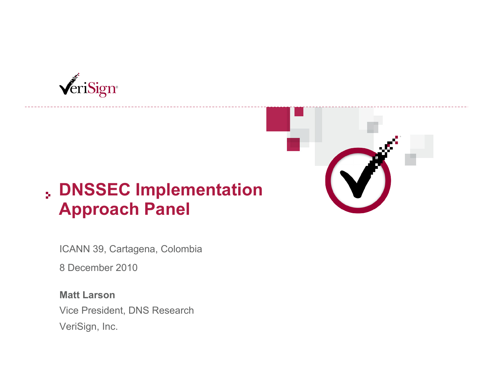

## **DNSSEC Implementation Approach Panel**

ICANN 39, Cartagena, Colombia

8 December 2010

**Matt Larson**  Vice President, DNS Research VeriSign, Inc.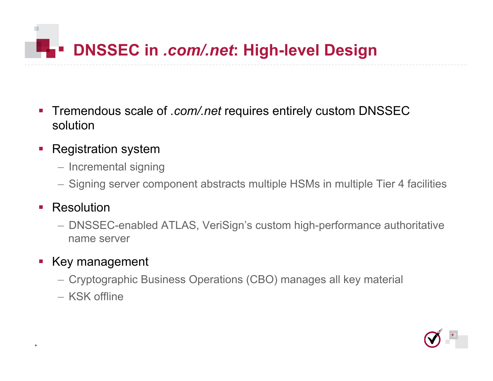# **DISSEC in** *.com/.net***: High-level Design**

- Tremendous scale of *.com/.net* requires entirely custom DNSSEC solution
- Registration system
	- Incremental signing
	- Signing server component abstracts multiple HSMs in multiple Tier 4 facilities

#### **Resolution**

– DNSSEC-enabled ATLAS, VeriSign's custom high-performance authoritative name server

### Key management

- Cryptographic Business Operations (CBO) manages all key material
- KSK offline

2

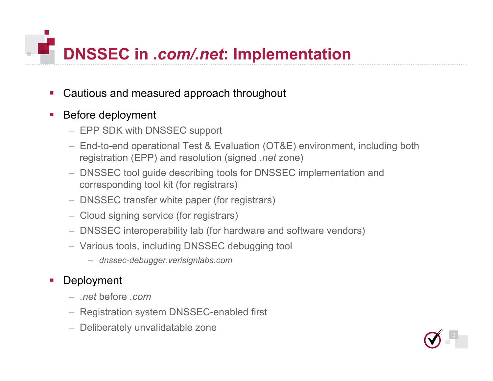

- Cautious and measured approach throughout
- **Before deployment** 
	- EPP SDK with DNSSEC support
	- End-to-end operational Test & Evaluation (OT&E) environment, including both registration (EPP) and resolution (signed *.net* zone)
	- DNSSEC tool guide describing tools for DNSSEC implementation and corresponding tool kit (for registrars)
	- DNSSEC transfer white paper (for registrars)
	- Cloud signing service (for registrars)
	- DNSSEC interoperability lab (for hardware and software vendors)
	- Various tools, including DNSSEC debugging tool
		- *dnssec-debugger.verisignlabs.com*

#### **Deployment**

- *.net* before *.com*
- Registration system DNSSEC-enabled first
- Deliberately unvalidatable zone

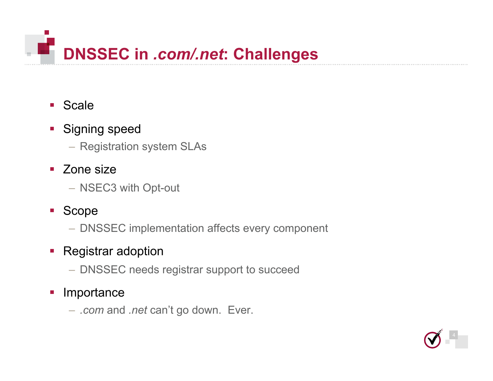

#### ■ Scale

#### **Signing speed**

- Registration system SLAs
- Zone size
	- NSEC3 with Opt-out
- Scope
	- DNSSEC implementation affects every component

#### • Registrar adoption

– DNSSEC needs registrar support to succeed

#### **Importance**

– *.com* and *.net* can't go down. Ever.